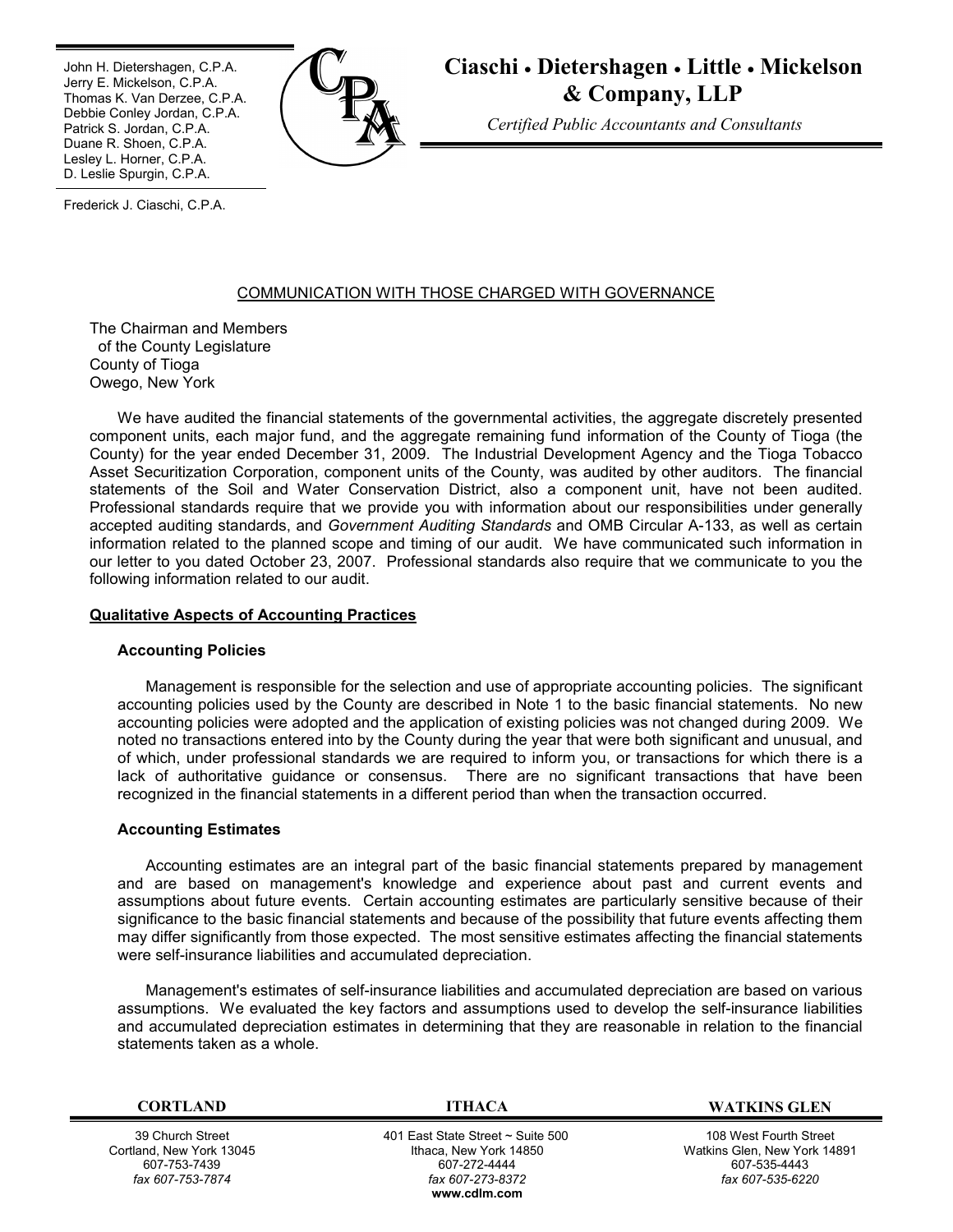Ī John H. Dietershagen, C.P.A. Jerry E. Mickelson, C.P.A. Thomas K. Van Derzee, C.P.A. Debbie Conley Jordan, C.P.A. Patrick S. Jordan, C.P.A. Duane R. Shoen, C.P.A. Lesley L. Horner, C.P.A. D. Leslie Spurgin, C.P.A.



**Ciaschi Dietershagen Little Mickelson & Company, LLP**

*Certified Public Accountants and Consultants*

Frederick J. Ciaschi, C.P.A.

# COMMUNICATION WITH THOSE CHARGED WITH GOVERNANCE

The Chairman and Members of the County Legislature County of Tioga Owego, New York

We have audited the financial statements of the governmental activities, the aggregate discretely presented component units, each major fund, and the aggregate remaining fund information of the County of Tioga (the County) for the year ended December 31, 2009. The Industrial Development Agency and the Tioga Tobacco Asset Securitization Corporation, component units of the County, was audited by other auditors. The financial statements of the Soil and Water Conservation District, also a component unit, have not been audited. Professional standards require that we provide you with information about our responsibilities under generally accepted auditing standards, and *Government Auditing Standards* and OMB Circular A-133, as well as certain information related to the planned scope and timing of our audit. We have communicated such information in our letter to you dated October 23, 2007. Professional standards also require that we communicate to you the following information related to our audit.

## **Qualitative Aspects of Accounting Practices**

### **Accounting Policies**

Management is responsible for the selection and use of appropriate accounting policies. The significant accounting policies used by the County are described in Note 1 to the basic financial statements. No new accounting policies were adopted and the application of existing policies was not changed during 2009. We noted no transactions entered into by the County during the year that were both significant and unusual, and of which, under professional standards we are required to inform you, or transactions for which there is a lack of authoritative guidance or consensus. There are no significant transactions that have been recognized in the financial statements in a different period than when the transaction occurred.

### **Accounting Estimates**

Accounting estimates are an integral part of the basic financial statements prepared by management and are based on management's knowledge and experience about past and current events and assumptions about future events. Certain accounting estimates are particularly sensitive because of their significance to the basic financial statements and because of the possibility that future events affecting them may differ significantly from those expected. The most sensitive estimates affecting the financial statements were self-insurance liabilities and accumulated depreciation.

Management's estimates of self-insurance liabilities and accumulated depreciation are based on various assumptions. We evaluated the key factors and assumptions used to develop the self-insurance liabilities and accumulated depreciation estimates in determining that they are reasonable in relation to the financial statements taken as a whole.

39 Church Street Cortland, New York 13045 607-753-7439 *fax 607-753-7874*

 401 East State Street ~ Suite 500 Ithaca, New York 14850 607-272-4444 *fax 607-273-8372* **w[ww.cdlm.com](www.cdlm.com)**

**CORTLAND ITHACA WATKINS GLEN**

108 West Fourth Street Watkins Glen, New York 14891 607-535-4443 *fax 607-535-6220*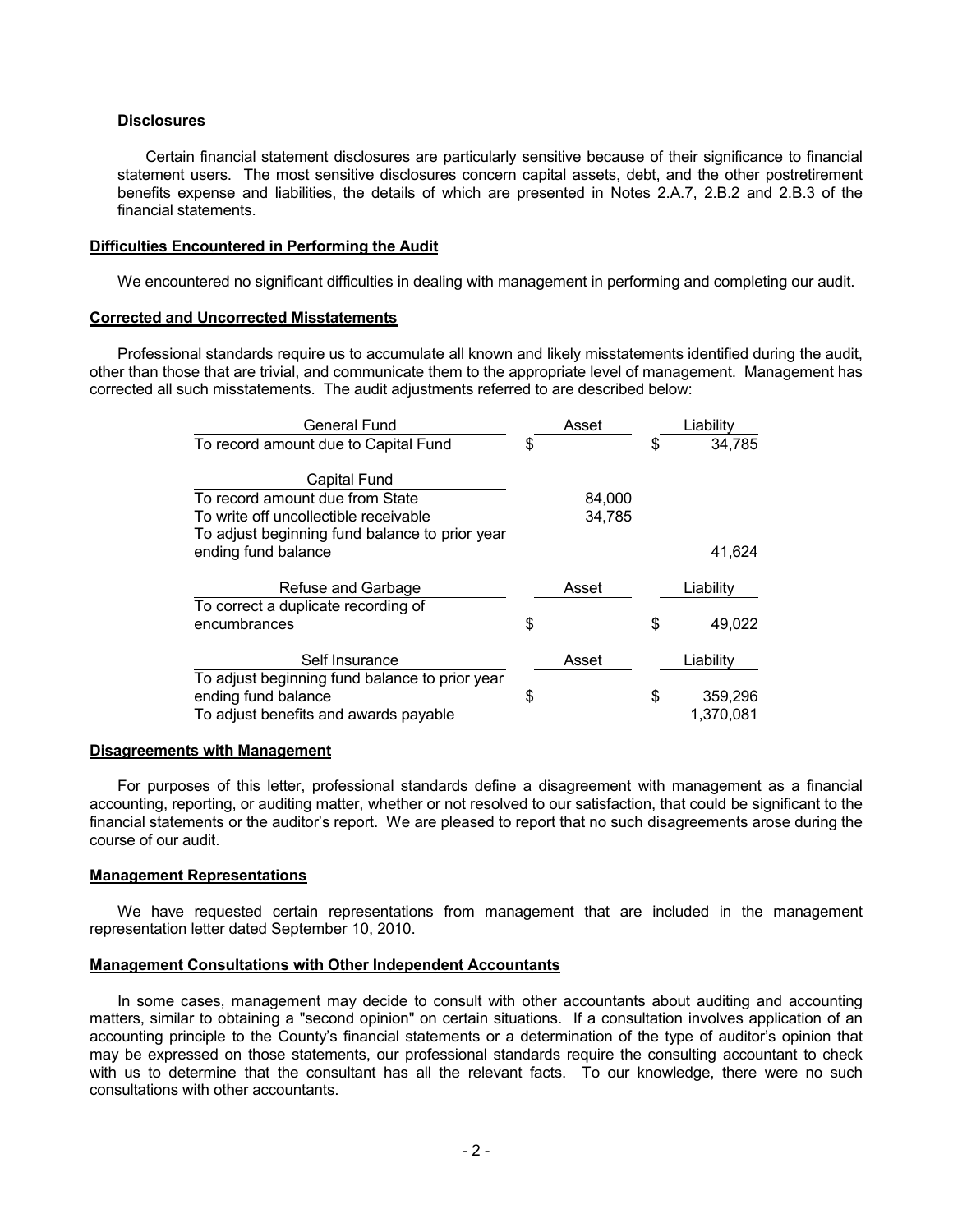## **Disclosures**

Certain financial statement disclosures are particularly sensitive because of their significance to financial statement users. The most sensitive disclosures concern capital assets, debt, and the other postretirement benefits expense and liabilities, the details of which are presented in Notes 2.A.7, 2.B.2 and 2.B.3 of the financial statements.

### **Difficulties Encountered in Performing the Audit**

We encountered no significant difficulties in dealing with management in performing and completing our audit.

# **Corrected and Uncorrected Misstatements**

Professional standards require us to accumulate all known and likely misstatements identified during the audit, other than those that are trivial, and communicate them to the appropriate level of management. Management has corrected all such misstatements. The audit adjustments referred to are described below:

| <b>General Fund</b>                                                   | Asset  | Liability                  |
|-----------------------------------------------------------------------|--------|----------------------------|
| To record amount due to Capital Fund                                  | \$     | \$<br>34,785               |
| Capital Fund<br>To record amount due from State                       | 84,000 |                            |
| To write off uncollectible receivable                                 | 34,785 |                            |
| To adjust beginning fund balance to prior year<br>ending fund balance |        | 41,624                     |
| Refuse and Garbage                                                    | Asset  | Liability                  |
| To correct a duplicate recording of                                   |        |                            |
| encumbrances                                                          | \$     | \$<br>49,022               |
| Self Insurance<br>To adjust beginning fund balance to prior year      | Asset  | Liability                  |
| ending fund balance<br>To adjust benefits and awards payable          | \$     | \$<br>359,296<br>1.370.081 |

### **Disagreements with Management**

For purposes of this letter, professional standards define a disagreement with management as a financial accounting, reporting, or auditing matter, whether or not resolved to our satisfaction, that could be significant to the financial statements or the auditor's report. We are pleased to report that no such disagreements arose during the course of our audit.

### **Management Representations**

We have requested certain representations from management that are included in the management representation letter dated September 10, 2010.

### **Management Consultations with Other Independent Accountants**

In some cases, management may decide to consult with other accountants about auditing and accounting matters, similar to obtaining a "second opinion" on certain situations. If a consultation involves application of an accounting principle to the County's financial statements or a determination of the type of auditor's opinion that may be expressed on those statements, our professional standards require the consulting accountant to check with us to determine that the consultant has all the relevant facts. To our knowledge, there were no such consultations with other accountants.